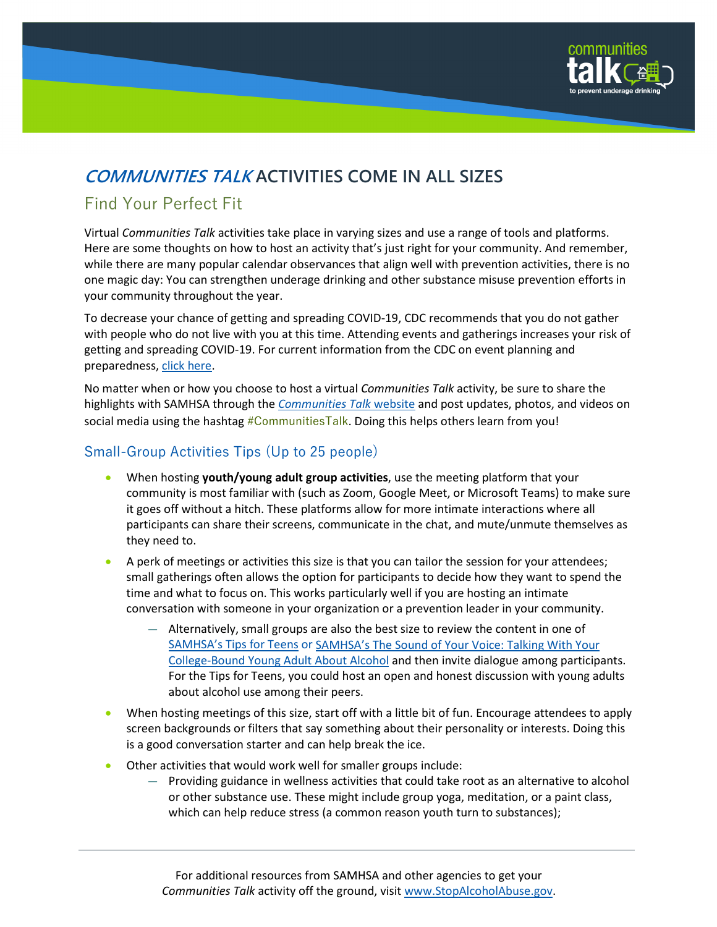

# **COMMUNITIES TALK ACTIVITIES COME IN ALL SIZES**

## Find Your Perfect Fit

Virtual *Communities Talk* activities take place in varying sizes and use a range of tools and platforms. Here are some thoughts on how to host an activity that's just right for your community. And remember, while there are many popular calendar observances that align well with prevention activities, there is no one magic day: You can strengthen underage drinking and other substance misuse prevention efforts in your community throughout the year.

To decrease your chance of getting and spreading COVID-19, CDC recommends that you do not gather with people who do not live with you at this time. Attending events and gatherings increases your risk of getting and spreading COVID-19. For current information from the CDC on event planning and preparedness, [click here.](https://www.cdc.gov/coronavirus/2019-ncov/community/large-events/event-planners-and-attendees-faq.html)

No matter when or how you choose to host a virtual *Communities Talk* activity, be sure to share the highlights with SAMHSA through the *[Communities Talk](https://www.stopalcoholabuse.gov/communitiestalk/)* website and post updates, photos, and videos on social media using the hashtag  $\#CommunitiesTalk$ . Doing this helps others learn from you!

### Small-Group Activities Tips (Up to 25 people)

- When hosting **youth/young adult group activities**, use the meeting platform that your community is most familiar with (such as Zoom, Google Meet, or Microsoft Teams) to make sure it goes off without a hitch. These platforms allow for more intimate interactions where all participants can share their screens, communicate in the chat, and mute/unmute themselves as they need to.
- A perk of meetings or activities this size is that you can tailor the session for your attendees; small gatherings often allows the option for participants to decide how they want to spend the time and what to focus on. This works particularly well if you are hosting an intimate conversation with someone in your organization or a prevention leader in your community.
	- Alternatively, small groups are also the best size to review the content in one of [SAMHSA's Tips for Teens](https://store.samhsa.gov/?f%5B0%5D=series%3A5567) o[r SAMHSA's The Sound of Your Voice: Talking With Your](https://www.stopalcoholabuse.gov/engagement/soyv.aspx)  [College-Bound Young Adult About Alcohol](https://www.stopalcoholabuse.gov/engagement/soyv.aspx) and then invite dialogue among participants. For the Tips for Teens, you could host an open and honest discussion with young adults about alcohol use among their peers.
- When hosting meetings of this size, start off with a little bit of fun. Encourage attendees to apply screen backgrounds or filters that say something about their personality or interests. Doing this is a good conversation starter and can help break the ice.
- Other activities that would work well for smaller groups include:
	- Providing guidance in wellness activities that could take root as an alternative to alcohol or other substance use. These might include group yoga, meditation, or a paint class, which can help reduce stress (a common reason youth turn to substances);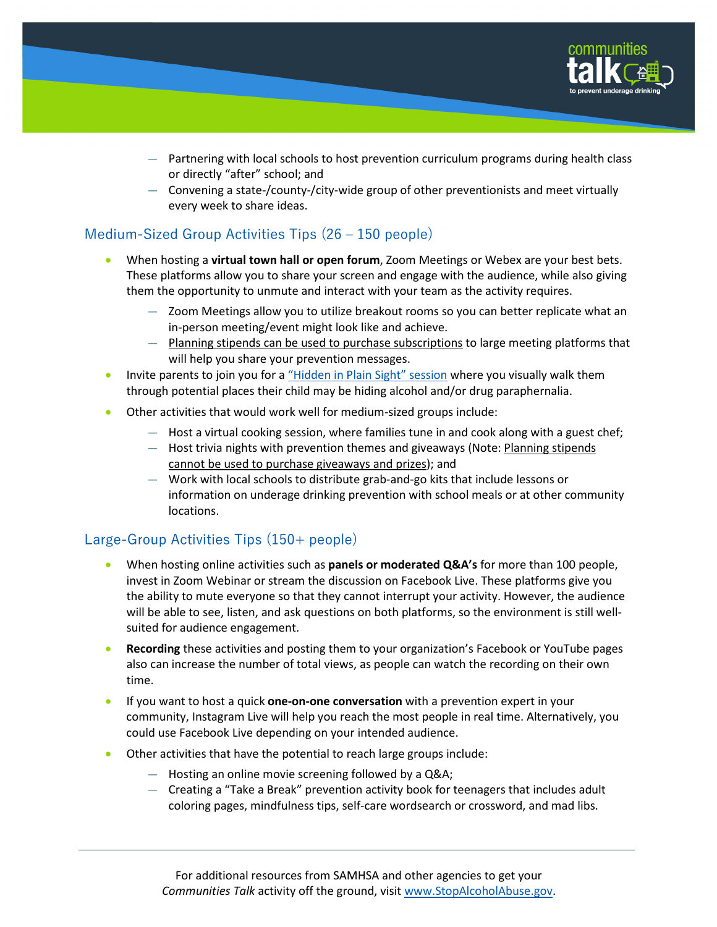

- Partnering with local schools to host prevention curriculum programs during health class or directly "after" school; and
- Convening a state-/county-/city-wide group of other preventionists and meet virtually every week to share ideas.

#### Medium-Sized Group Activities Tips (26 – 150 people)

- When hosting a **virtual town hall or open forum**, Zoom Meetings or Webex are your best bets. These platforms allow you to share your screen and engage with the audience, while also giving them the opportunity to unmute and interact with your team as the activity requires.
	- Zoom Meetings allow you to utilize breakout rooms so you can better replicate what an in-person meeting/event might look like and achieve.
	- Planning stipends can be used to purchase subscriptions to large meeting platforms that will help you share your prevention messages.
- Invite parents to join you for a ["Hidden in Plain Sight" session](https://seekbeak.com/v/531BwDlrzBL) where you visually walk them through potential places their child may be hiding alcohol and/or drug paraphernalia.
- Other activities that would work well for medium-sized groups include:
	- Host a virtual cooking session, where families tune in and cook along with a guest chef;
	- Host trivia nights with prevention themes and giveaways (Note: Planning stipends cannot be used to purchase giveaways and prizes); and
	- Work with local schools to distribute grab-and-go kits that include lessons or information on underage drinking prevention with school meals or at other community locations.

### Large-Group Activities Tips (150+ people)

- When hosting online activities such as **panels or moderated Q&A's** for more than 100 people, invest in Zoom Webinar or stream the discussion on Facebook Live. These platforms give you the ability to mute everyone so that they cannot interrupt your activity. However, the audience will be able to see, listen, and ask questions on both platforms, so the environment is still wellsuited for audience engagement.
- **Recording** these activities and posting them to your organization's Facebook or YouTube pages also can increase the number of total views, as people can watch the recording on their own time.
- If you want to host a quick **one-on-one conversation** with a prevention expert in your community, Instagram Live will help you reach the most people in real time. Alternatively, you could use Facebook Live depending on your intended audience.
- Other activities that have the potential to reach large groups include:
	- Hosting an online movie screening followed by a Q&A;
	- Creating a "Take a Break" prevention activity book for teenagers that includes adult coloring pages, mindfulness tips, self-care wordsearch or crossword, and mad libs.